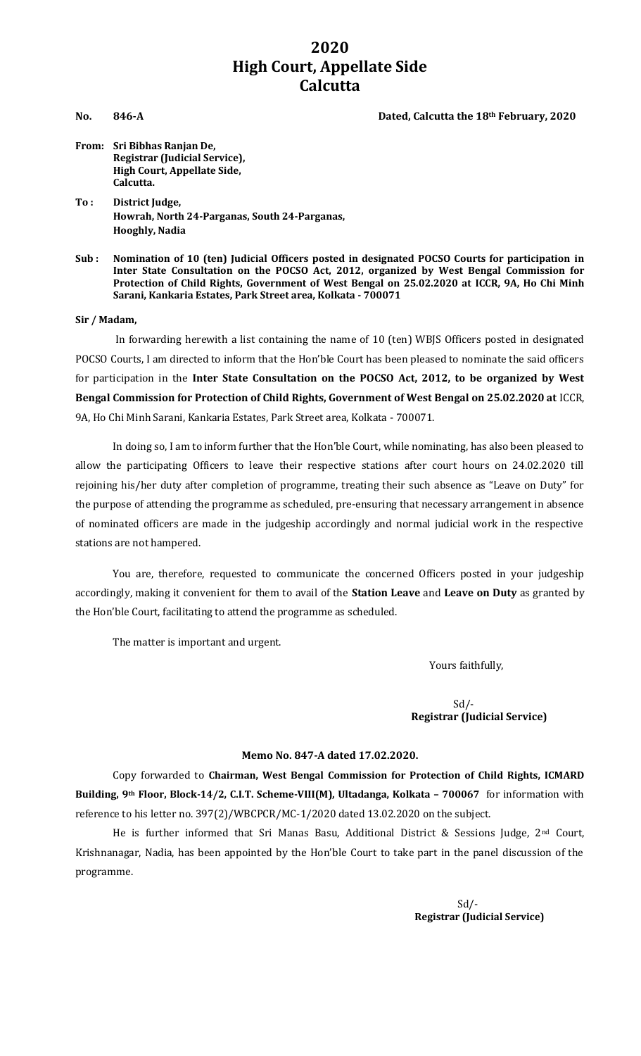# **2020 High Court, Appellate Side Calcutta**

#### **No. 846-A Dated, Calcutta the 18th February, 2020**

- **From: Sri Bibhas Ranjan De, Registrar (Judicial Service), High Court, Appellate Side, Calcutta.**
- **To : District Judge, Howrah, North 24-Parganas, South 24-Parganas, Hooghly, Nadia**
- **Sub : Nomination of 10 (ten) Judicial Officers posted in designated POCSO Courts for participation in Inter State Consultation on the POCSO Act, 2012, organized by West Bengal Commission for Protection of Child Rights, Government of West Bengal on 25.02.2020 at ICCR, 9A, Ho Chi Minh Sarani, Kankaria Estates, Park Street area, Kolkata - 700071**

#### **Sir / Madam,**

In forwarding herewith a list containing the name of 10 (ten) WBJS Officers posted in designated POCSO Courts, I am directed to inform that the Hon'ble Court has been pleased to nominate the said officers for participation in the **Inter State Consultation on the POCSO Act, 2012, to be organized by West Bengal Commission for Protection of Child Rights, Government of West Bengal on 25.02.2020 at** ICCR, 9A, Ho Chi Minh Sarani, Kankaria Estates, Park Street area, Kolkata - 700071.

In doing so, I am to inform further that the Hon'ble Court, while nominating, has also been pleased to allow the participating Officers to leave their respective stations after court hours on 24.02.2020 till rejoining his/her duty after completion of programme, treating their such absence as "Leave on Duty" for the purpose of attending the programme as scheduled, pre-ensuring that necessary arrangement in absence of nominated officers are made in the judgeship accordingly and normal judicial work in the respective stations are not hampered.

You are, therefore, requested to communicate the concerned Officers posted in your judgeship accordingly, making it convenient for them to avail of the **Station Leave** and **Leave on Duty** as granted by the Hon'ble Court, facilitating to attend the programme as scheduled.

The matter is important and urgent.

Yours faithfully,

#### $Sd$  /- **Registrar (Judicial Service)**

#### **Memo No. 847-A dated 17.02.2020.**

Copy forwarded to **Chairman, West Bengal Commission for Protection of Child Rights, ICMARD Building, 9th Floor, Block-14/2, C.I.T. Scheme-VIII(M), Ultadanga, Kolkata – 700067** for information with reference to his letter no. 397(2)/WBCPCR/MC-1/2020 dated 13.02.2020 on the subject.

He is further informed that Sri Manas Basu, Additional District & Sessions Judge, 2<sup>nd</sup> Court, Krishnanagar, Nadia, has been appointed by the Hon'ble Court to take part in the panel discussion of the programme.

> Sd/- **Registrar (Judicial Service)**